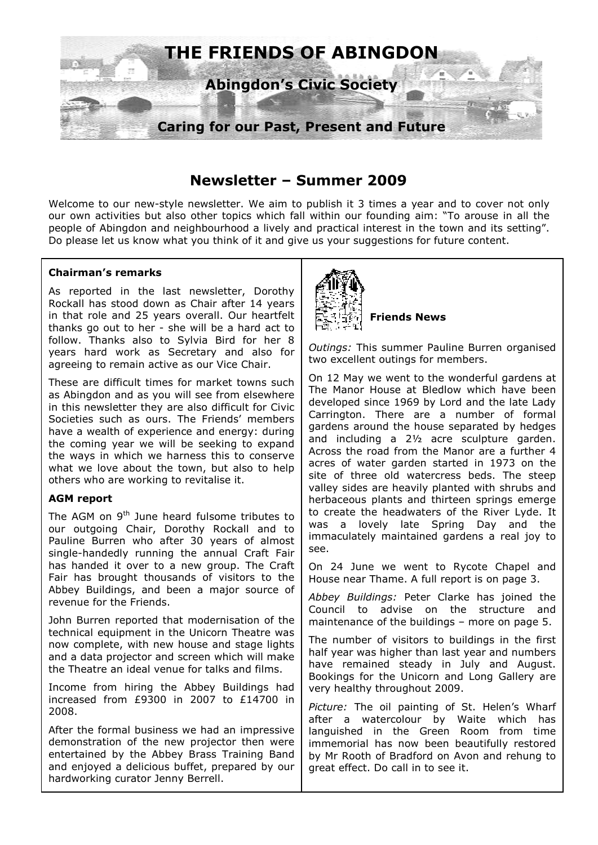

# **Newsletter – Summer 2009**

Welcome to our new-style newsletter. We aim to publish it 3 times a year and to cover not only our own activities but also other topics which fall within our founding aim: "To arouse in all the people of Abingdon and neighbourhood a lively and practical interest in the town and its setting". Do please let us know what you think of it and give us your suggestions for future content.

### **Chairman's remarks**

As reported in the last newsletter, Dorothy Rockall has stood down as Chair after 14 years in that role and 25 years overall. Our heartfelt thanks go out to her - she will be a hard act to follow. Thanks also to Sylvia Bird for her 8 years hard work as Secretary and also for agreeing to remain active as our Vice Chair.

These are difficult times for market towns such as Abingdon and as you will see from elsewhere in this newsletter they are also difficult for Civic Societies such as ours. The Friends' members have a wealth of experience and energy: during the coming year we will be seeking to expand the ways in which we harness this to conserve what we love about the town, but also to help others who are working to revitalise it.

#### **AGM report**

The AGM on  $9<sup>th</sup>$  June heard fulsome tributes to our outgoing Chair, Dorothy Rockall and to Pauline Burren who after 30 years of almost single-handedly running the annual Craft Fair has handed it over to a new group. The Craft Fair has brought thousands of visitors to the Abbey Buildings, and been a major source of revenue for the Friends.

John Burren reported that modernisation of the technical equipment in the Unicorn Theatre was now complete, with new house and stage lights and a data projector and screen which will make the Theatre an ideal venue for talks and films.

Income from hiring the Abbey Buildings had increased from £9300 in 2007 to £14700 in 2008.

After the formal business we had an impressive demonstration of the new projector then were entertained by the Abbey Brass Training Band and enjoyed a delicious buffet, prepared by our hardworking curator Jenny Berrell.



**Friends News** 

*Outings:* This summer Pauline Burren organised two excellent outings for members.

On 12 May we went to the wonderful gardens at The Manor House at Bledlow which have been developed since 1969 by Lord and the late Lady Carrington. There are a number of formal gardens around the house separated by hedges and including a 2½ acre sculpture garden. Across the road from the Manor are a further 4 acres of water garden started in 1973 on the site of three old watercress beds. The steep valley sides are heavily planted with shrubs and herbaceous plants and thirteen springs emerge to create the headwaters of the River Lyde. It was a lovely late Spring Day and the immaculately maintained gardens a real joy to see.

On 24 June we went to Rycote Chapel and House near Thame. A full report is on page 3.

*Abbey Buildings:* Peter Clarke has joined the Council to advise on the structure and maintenance of the buildings – more on page 5.

The number of visitors to buildings in the first half year was higher than last year and numbers have remained steady in July and August. Bookings for the Unicorn and Long Gallery are very healthy throughout 2009.

*Picture:* The oil painting of St. Helen's Wharf after a watercolour by Waite which has languished in the Green Room from time immemorial has now been beautifully restored by Mr Rooth of Bradford on Avon and rehung to great effect. Do call in to see it.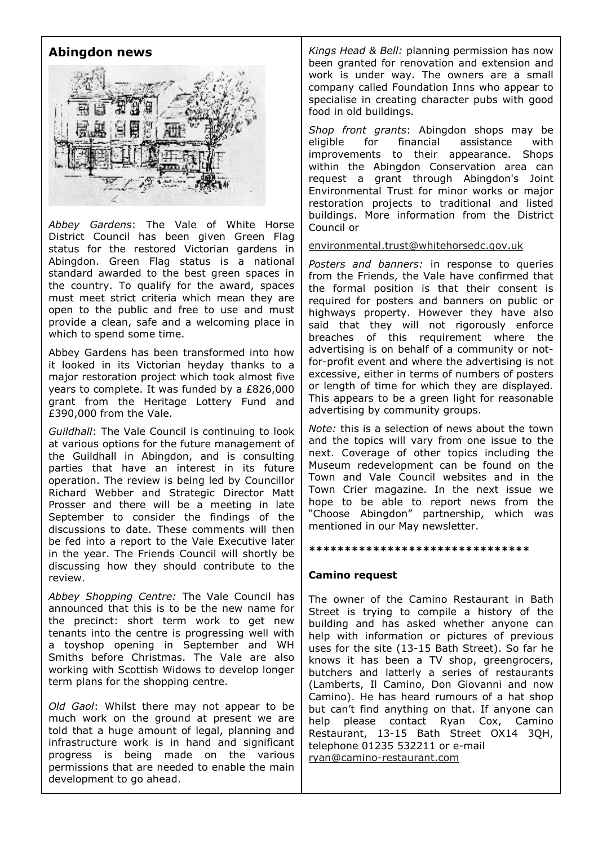# **Abingdon news**



*Abbey Gardens*: The Vale of White Horse District Council has been given Green Flag status for the restored Victorian gardens in Abingdon. Green Flag status is a national standard awarded to the best green spaces in the country. To qualify for the award, spaces must meet strict criteria which mean they are open to the public and free to use and must provide a clean, safe and a welcoming place in which to spend some time.

Abbey Gardens has been transformed into how it looked in its Victorian heyday thanks to a major restoration project which took almost five years to complete. It was funded by a £826,000 grant from the Heritage Lottery Fund and £390,000 from the Vale.

*Guildhall*: The Vale Council is continuing to look at various options for the future management of the Guildhall in Abingdon, and is consulting parties that have an interest in its future operation. The review is being led by Councillor Richard Webber and Strategic Director Matt Prosser and there will be a meeting in late September to consider the findings of the discussions to date. These comments will then be fed into a report to the Vale Executive later in the year. The Friends Council will shortly be discussing how they should contribute to the review.

*Abbey Shopping Centre:* The Vale Council has announced that this is to be the new name for the precinct: short term work to get new tenants into the centre is progressing well with a toyshop opening in September and WH Smiths before Christmas. The Vale are also working with Scottish Widows to develop longer term plans for the shopping centre.

*Old Gaol*: Whilst there may not appear to be much work on the ground at present we are told that a huge amount of legal, planning and infrastructure work is in hand and significant progress is being made on the various permissions that are needed to enable the main development to go ahead.

*Kings Head & Bell:* planning permission has now been granted for renovation and extension and work is under way. The owners are a small company called Foundation Inns who appear to specialise in creating character pubs with good food in old buildings.

*Shop front grants*: Abingdon shops may be eligible for financial assistance with improvements to their appearance. Shops within the Abingdon Conservation area can request a grant through Abingdon's Joint Environmental Trust for minor works or major restoration projects to traditional and listed buildings. More information from the District Council or

environmental.trust@whitehorsedc.gov.uk

*Posters and banners:* in response to queries from the Friends, the Vale have confirmed that the formal position is that their consent is required for posters and banners on public or highways property. However they have also said that they will not rigorously enforce breaches of this requirement where the advertising is on behalf of a community or notfor-profit event and where the advertising is not excessive, either in terms of numbers of posters or length of time for which they are displayed. This appears to be a green light for reasonable advertising by community groups.

*Note:* this is a selection of news about the town and the topics will vary from one issue to the next. Coverage of other topics including the Museum redevelopment can be found on the Town and Vale Council websites and in the Town Crier magazine. In the next issue we hope to be able to report news from the "Choose Abingdon" partnership, which was mentioned in our May newsletter.

#### **\*\*\*\*\*\*\*\*\*\*\*\*\*\*\*\*\*\*\*\*\*\*\*\*\*\*\*\*\*\*\***

#### **Camino request**

The owner of the Camino Restaurant in Bath Street is trying to compile a history of the building and has asked whether anyone can help with information or pictures of previous uses for the site (13-15 Bath Street). So far he knows it has been a TV shop, greengrocers, butchers and latterly a series of restaurants (Lamberts, Il Camino, Don Giovanni and now Camino). He has heard rumours of a hat shop but can't find anything on that. If anyone can help please contact Ryan Cox, Camino Restaurant, 13-15 Bath Street OX14 3QH, telephone 01235 532211 or e-mail ryan@camino-restaurant.com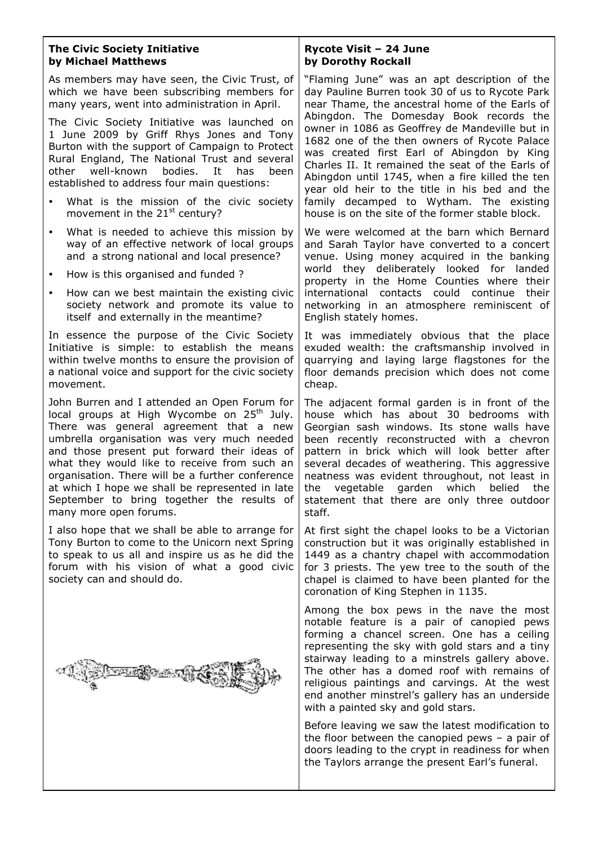#### **The Civic Society Initiative by Michael Matthews**

As members may have seen, the Civic Trust, of which we have been subscribing members for many years, went into administration in April.

The Civic Society Initiative was launched on 1 June 2009 by Griff Rhys Jones and Tony Burton with the support of Campaign to Protect Rural England, The National Trust and several other well-known bodies. It has been established to address four main questions:

- What is the mission of the civic society movement in the  $21<sup>st</sup>$  century?
- What is needed to achieve this mission by way of an effective network of local groups and a strong national and local presence?
- How is this organised and funded ?
- How can we best maintain the existing civic society network and promote its value to itself and externally in the meantime?

In essence the purpose of the Civic Society Initiative is simple: to establish the means within twelve months to ensure the provision of a national voice and support for the civic society movement.

John Burren and I attended an Open Forum for local groups at High Wycombe on  $25<sup>th</sup>$  July. There was general agreement that a new umbrella organisation was very much needed and those present put forward their ideas of what they would like to receive from such an organisation. There will be a further conference at which I hope we shall be represented in late September to bring together the results of many more open forums.

I also hope that we shall be able to arrange for Tony Burton to come to the Unicorn next Spring to speak to us all and inspire us as he did the forum with his vision of what a good civic society can and should do.



### **Rycote Visit – 24 June by Dorothy Rockall**

"Flaming June" was an apt description of the day Pauline Burren took 30 of us to Rycote Park near Thame, the ancestral home of the Earls of Abingdon. The Domesday Book records the owner in 1086 as Geoffrey de Mandeville but in 1682 one of the then owners of Rycote Palace was created first Earl of Abingdon by King Charles II. It remained the seat of the Earls of Abingdon until 1745, when a fire killed the ten year old heir to the title in his bed and the family decamped to Wytham. The existing house is on the site of the former stable block.

We were welcomed at the barn which Bernard and Sarah Taylor have converted to a concert venue. Using money acquired in the banking world they deliberately looked for landed property in the Home Counties where their international contacts could continue their networking in an atmosphere reminiscent of English stately homes.

It was immediately obvious that the place exuded wealth: the craftsmanship involved in quarrying and laying large flagstones for the floor demands precision which does not come cheap.

The adjacent formal garden is in front of the house which has about 30 bedrooms with Georgian sash windows. Its stone walls have been recently reconstructed with a chevron pattern in brick which will look better after several decades of weathering. This aggressive neatness was evident throughout, not least in the vegetable garden which belied the statement that there are only three outdoor staff.

At first sight the chapel looks to be a Victorian construction but it was originally established in 1449 as a chantry chapel with accommodation for 3 priests. The yew tree to the south of the chapel is claimed to have been planted for the coronation of King Stephen in 1135.

Among the box pews in the nave the most notable feature is a pair of canopied pews forming a chancel screen. One has a ceiling representing the sky with gold stars and a tiny stairway leading to a minstrels gallery above. The other has a domed roof with remains of religious paintings and carvings. At the west end another minstrel's gallery has an underside with a painted sky and gold stars.

Before leaving we saw the latest modification to the floor between the canopied pews – a pair of doors leading to the crypt in readiness for when the Taylors arrange the present Earl's funeral.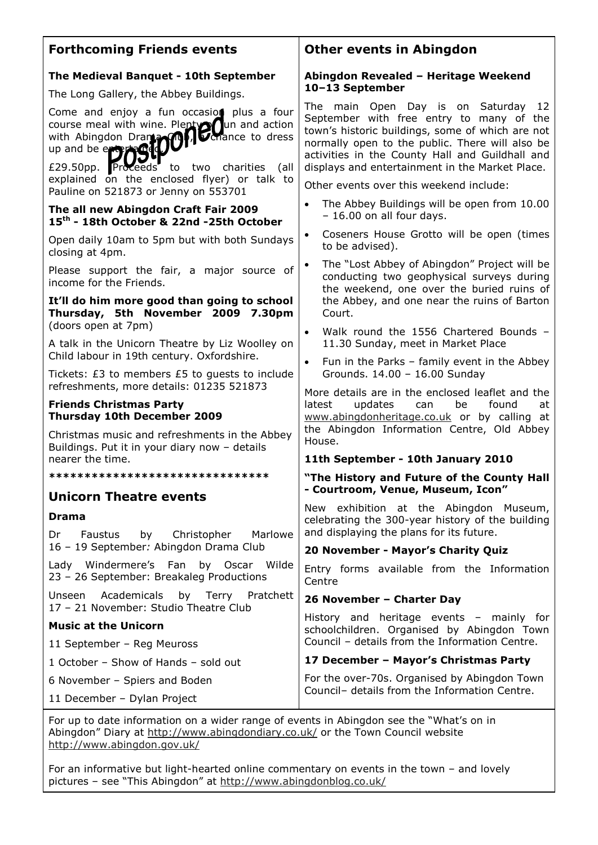| <b>Forthcoming Friends events</b>                                                                                                                                                                             | <b>Other events in Abingdon</b>                                                                                                                                                                                                                                                              |  |
|---------------------------------------------------------------------------------------------------------------------------------------------------------------------------------------------------------------|----------------------------------------------------------------------------------------------------------------------------------------------------------------------------------------------------------------------------------------------------------------------------------------------|--|
| The Medieval Banquet - 10th September<br>The Long Gallery, the Abbey Buildings.                                                                                                                               | Abingdon Revealed - Heritage Weekend<br>10-13 September                                                                                                                                                                                                                                      |  |
| Come and enjoy a fun occasion plus a four<br>course meal with wine. Plenty Cun and action<br>with Abingdon Drama Cun and action<br>up and be enterprised to dress<br>£29.50pp. Proceeds to two charities (all | The main Open Day is on Saturday 12<br>September with free entry to many of the<br>town's historic buildings, some of which are not<br>normally open to the public. There will also be<br>activities in the County Hall and Guildhall and<br>displays and entertainment in the Market Place. |  |
| explained on the enclosed flyer) or talk to<br>Pauline on 521873 or Jenny on 553701                                                                                                                           | Other events over this weekend include:                                                                                                                                                                                                                                                      |  |
| The all new Abingdon Craft Fair 2009<br>15 <sup>th</sup> - 18th October & 22nd -25th October                                                                                                                  | The Abbey Buildings will be open from 10.00<br>$\bullet$<br>- 16.00 on all four days.                                                                                                                                                                                                        |  |
| Open daily 10am to 5pm but with both Sundays<br>closing at 4pm.                                                                                                                                               | Coseners House Grotto will be open (times<br>$\bullet$<br>to be advised).<br>The "Lost Abbey of Abingdon" Project will be<br>$\bullet$<br>conducting two geophysical surveys during                                                                                                          |  |
| Please support the fair, a major source of<br>income for the Friends.                                                                                                                                         |                                                                                                                                                                                                                                                                                              |  |
| It'll do him more good than going to school<br>Thursday, 5th November 2009 7.30pm<br>(doors open at 7pm)                                                                                                      | the weekend, one over the buried ruins of<br>the Abbey, and one near the ruins of Barton<br>Court.                                                                                                                                                                                           |  |
| A talk in the Unicorn Theatre by Liz Woolley on<br>Child labour in 19th century. Oxfordshire.                                                                                                                 | Walk round the 1556 Chartered Bounds -<br>$\bullet$<br>11.30 Sunday, meet in Market Place                                                                                                                                                                                                    |  |
| Tickets: £3 to members £5 to guests to include                                                                                                                                                                | Fun in the Parks - family event in the Abbey<br>$\bullet$<br>Grounds. 14.00 - 16.00 Sunday                                                                                                                                                                                                   |  |
| refreshments, more details: 01235 521873<br><b>Friends Christmas Party</b><br><b>Thursday 10th December 2009</b><br>Christmas music and refreshments in the Abbey                                             | More details are in the enclosed leaflet and the<br>latest<br>updates<br>can<br>be<br>found<br>at<br>www.abingdonheritage.co.uk or by calling at<br>the Abingdon Information Centre, Old Abbey<br>House.<br>11th September - 10th January 2010                                               |  |
| Buildings. Put it in your diary now - details<br>nearer the time.                                                                                                                                             |                                                                                                                                                                                                                                                                                              |  |
| *******************************                                                                                                                                                                               | "The History and Future of the County Hall<br>- Courtroom, Venue, Museum, Icon"                                                                                                                                                                                                              |  |
| <b>Unicorn Theatre events</b>                                                                                                                                                                                 |                                                                                                                                                                                                                                                                                              |  |
| <b>Drama</b>                                                                                                                                                                                                  | New exhibition at the Abingdon Museum,<br>celebrating the 300-year history of the building                                                                                                                                                                                                   |  |
| <b>Faustus</b><br>by<br>Christopher<br>Marlowe<br>Dr<br>16 - 19 September: Abingdon Drama Club                                                                                                                | and displaying the plans for its future.<br>20 November - Mayor's Charity Quiz                                                                                                                                                                                                               |  |
| Lady Windermere's Fan by Oscar Wilde<br>23 - 26 September: Breakaleg Productions                                                                                                                              | Entry forms available from the Information<br>Centre                                                                                                                                                                                                                                         |  |
| Unseen Academicals by Terry Pratchett<br>17 - 21 November: Studio Theatre Club                                                                                                                                | 26 November - Charter Day                                                                                                                                                                                                                                                                    |  |
| <b>Music at the Unicorn</b>                                                                                                                                                                                   | History and heritage events - mainly for<br>schoolchildren. Organised by Abingdon Town<br>Council - details from the Information Centre.                                                                                                                                                     |  |
| 11 September - Reg Meuross                                                                                                                                                                                    |                                                                                                                                                                                                                                                                                              |  |
| 1 October - Show of Hands - sold out                                                                                                                                                                          | 17 December - Mayor's Christmas Party                                                                                                                                                                                                                                                        |  |
| 6 November - Spiers and Boden                                                                                                                                                                                 | For the over-70s. Organised by Abingdon Town<br>Council- details from the Information Centre.                                                                                                                                                                                                |  |
| 11 December - Dylan Project                                                                                                                                                                                   |                                                                                                                                                                                                                                                                                              |  |

For up to date information on a wider range of events in Abingdon see the "What's on in Abingdon" Diary at http://www.abingdondiary.co.uk/ or the Town Council website http://www.abingdon.gov.uk/

For an informative but light-hearted online commentary on events in the town – and lovely pictures – see "This Abingdon" at http://www.abingdonblog.co.uk/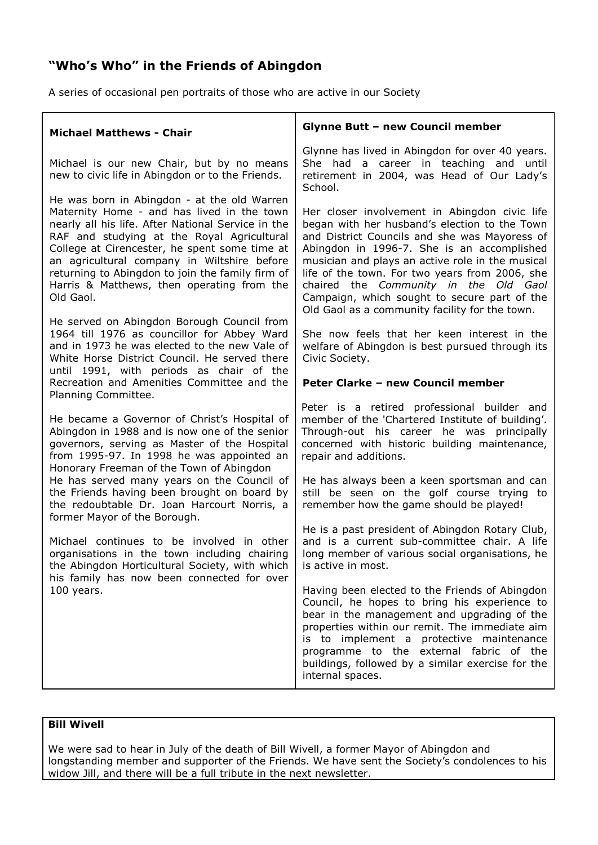# **"Who's Who" in the Friends of Abingdon**

A series of occasional pen portraits of those who are active in our Society

| <b>Michael Matthews - Chair</b>                                                                                                                                                                                                                                                                                                                                                                              | <b>Glynne Butt - new Council member</b>                                                                                                                                                                                                                                                                                                                                                                                                        |  |
|--------------------------------------------------------------------------------------------------------------------------------------------------------------------------------------------------------------------------------------------------------------------------------------------------------------------------------------------------------------------------------------------------------------|------------------------------------------------------------------------------------------------------------------------------------------------------------------------------------------------------------------------------------------------------------------------------------------------------------------------------------------------------------------------------------------------------------------------------------------------|--|
| Michael is our new Chair, but by no means<br>new to civic life in Abingdon or to the Friends.                                                                                                                                                                                                                                                                                                                | Glynne has lived in Abingdon for over 40 years.<br>She had a career in teaching and until<br>retirement in 2004, was Head of Our Lady's<br>School.                                                                                                                                                                                                                                                                                             |  |
| He was born in Abingdon - at the old Warren<br>Maternity Home - and has lived in the town<br>nearly all his life. After National Service in the<br>RAF and studying at the Royal Agricultural<br>College at Cirencester, he spent some time at<br>an agricultural company in Wiltshire before<br>returning to Abingdon to join the family firm of<br>Harris & Matthews, then operating from the<br>Old Gaol. | Her closer involvement in Abingdon civic life<br>began with her husband's election to the Town<br>and District Councils and she was Mayoress of<br>Abingdon in 1996-7. She is an accomplished<br>musician and plays an active role in the musical<br>life of the town. For two years from 2006, she<br>chaired the Community in the Old Gaol<br>Campaign, which sought to secure part of the<br>Old Gaol as a community facility for the town. |  |
| He served on Abingdon Borough Council from<br>1964 till 1976 as councillor for Abbey Ward<br>and in 1973 he was elected to the new Vale of<br>White Horse District Council. He served there<br>until 1991, with periods as chair of the<br>Recreation and Amenities Committee and the                                                                                                                        | She now feels that her keen interest in the<br>welfare of Abingdon is best pursued through its<br>Civic Society.<br>Peter Clarke - new Council member                                                                                                                                                                                                                                                                                          |  |
| Planning Committee.<br>He became a Governor of Christ's Hospital of<br>Abingdon in 1988 and is now one of the senior<br>governors, serving as Master of the Hospital<br>from 1995-97. In 1998 he was appointed an<br>Honorary Freeman of the Town of Abingdon                                                                                                                                                | Peter is a retired professional builder and<br>member of the 'Chartered Institute of building'.<br>Through-out his career he was principally<br>concerned with historic building maintenance,<br>repair and additions.                                                                                                                                                                                                                         |  |
| He has served many years on the Council of<br>the Friends having been brought on board by<br>the redoubtable Dr. Joan Harcourt Norris, a<br>former Mayor of the Borough.                                                                                                                                                                                                                                     | He has always been a keen sportsman and can<br>still be seen on the golf course trying to<br>remember how the game should be played!                                                                                                                                                                                                                                                                                                           |  |
| Michael continues to be involved in other<br>organisations in the town including chairing<br>the Abingdon Horticultural Society, with which<br>his family has now been connected for over<br>100 years.                                                                                                                                                                                                      | He is a past president of Abingdon Rotary Club,<br>and is a current sub-committee chair. A life<br>long member of various social organisations, he<br>is active in most.                                                                                                                                                                                                                                                                       |  |
|                                                                                                                                                                                                                                                                                                                                                                                                              | Having been elected to the Friends of Abingdon<br>Council, he hopes to bring his experience to<br>bear in the management and upgrading of the<br>properties within our remit. The immediate aim<br>is to implement a protective maintenance<br>programme to the external fabric of the<br>buildings, followed by a similar exercise for the<br>internal spaces.                                                                                |  |

# **Bill Wivell**

We were sad to hear in July of the death of Bill Wivell, a former Mayor of Abingdon and longstanding member and supporter of the Friends. We have sent the Society's condolences to his widow Jill, and there will be a full tribute in the next newsletter.